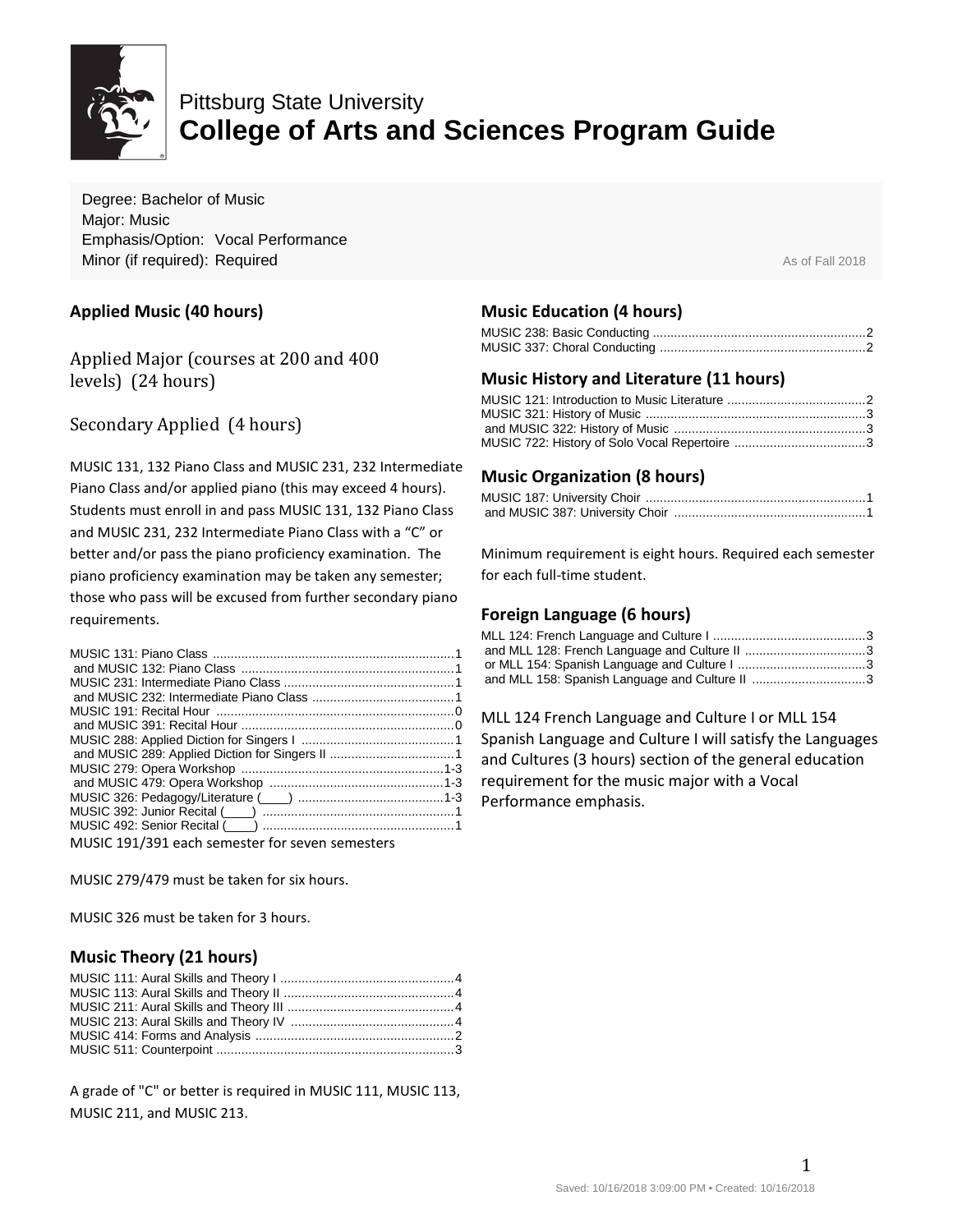

# Pittsburg State University **College of Arts and Sciences Program Guide**

Degree: Bachelor of Music Major: Music Emphasis/Option: Vocal Performance **Minor (if required): Required** As of Fall 2018

### **Applied Music (40 hours)**

Applied Major (courses at 200 and 400 levels) (24 hours)

# Secondary Applied (4 hours)

MUSIC 131, 132 Piano Class and MUSIC 231, 232 Intermediate Piano Class and/or applied piano (this may exceed 4 hours). Students must enroll in and pass MUSIC 131, 132 Piano Class and MUSIC 231, 232 Intermediate Piano Class with a "C" or better and/or pass the piano proficiency examination. The piano proficiency examination may be taken any semester; those who pass will be excused from further secondary piano requirements.

| MUSIC 191/391 each semester for seven semesters |  |
|-------------------------------------------------|--|

MUSIC 279/479 must be taken for six hours.

MUSIC 326 must be taken for 3 hours.

# **Music Theory (21 hours)**

A grade of "C" or better is required in MUSIC 111, MUSIC 113, MUSIC 211, and MUSIC 213.

### **Music Education (4 hours)**

### **Music History and Literature (11 hours)**

### **Music Organization (8 hours)**

Minimum requirement is eight hours. Required each semester for each full-time student.

#### **Foreign Language (6 hours)**

MLL 124 French Language and Culture I or MLL 154 Spanish Language and Culture I will satisfy the Languages and Cultures (3 hours) section of the general education requirement for the music major with a Vocal Performance emphasis.